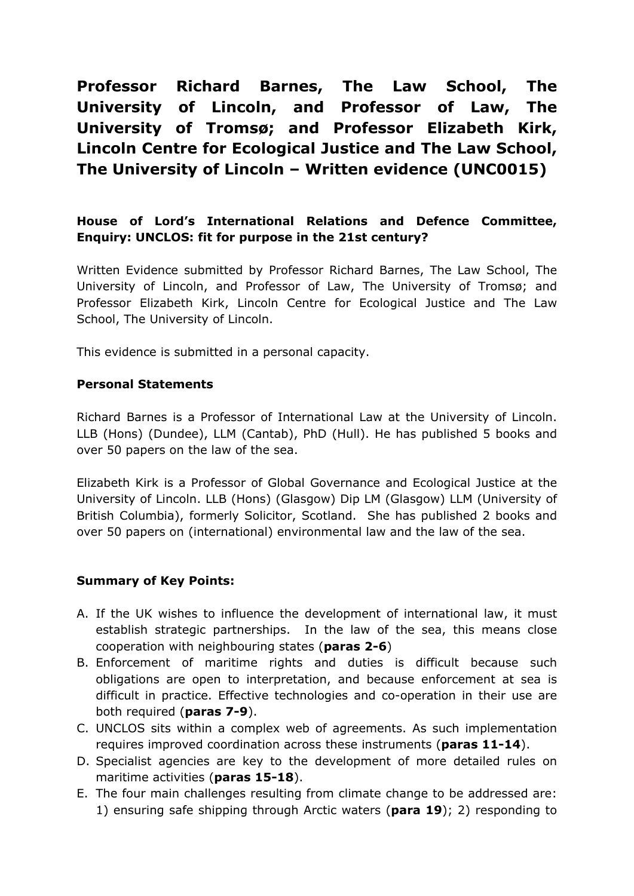**Professor Richard Barnes, The Law School, The University of Lincoln, and Professor of Law, The University of Tromsø; and Professor Elizabeth Kirk, Lincoln Centre for Ecological Justice and The Law School, The University of Lincoln – Written evidence (UNC0015)**

# **House of Lord's International Relations and Defence Committee, Enquiry: UNCLOS: fit for purpose in the 21st century?**

Written Evidence submitted by Professor Richard Barnes, The Law School, The University of Lincoln, and Professor of Law, The University of Tromsø; and Professor Elizabeth Kirk, Lincoln Centre for Ecological Justice and The Law School, The University of Lincoln.

This evidence is submitted in a personal capacity.

#### **Personal Statements**

Richard Barnes is a Professor of International Law at the University of Lincoln. LLB (Hons) (Dundee), LLM (Cantab), PhD (Hull). He has published 5 books and over 50 papers on the law of the sea.

Elizabeth Kirk is a Professor of Global Governance and Ecological Justice at the University of Lincoln. LLB (Hons) (Glasgow) Dip LM (Glasgow) LLM (University of British Columbia), formerly Solicitor, Scotland. She has published 2 books and over 50 papers on (international) environmental law and the law of the sea.

#### **Summary of Key Points:**

- A. If the UK wishes to influence the development of international law, it must establish strategic partnerships. In the law of the sea, this means close cooperation with neighbouring states (**paras [2](#page-2-0)[-6](#page-2-1)**)
- B. Enforcement of maritime rights and duties is difficult because such obligations are open to interpretation, and because enforcement at sea is difficult in practice. Effective technologies and co-operation in their use are both required (**paras [7-](#page-2-2)[9](#page-3-0)**).
- C. UNCLOS sits within a complex web of agreements. As such implementation requires improved coordination across these instruments (**paras [11](#page-4-0)-[14](#page-4-1)**).
- D. Specialist agencies are key to the development of more detailed rules on maritime activities (**paras [15](#page-4-2)[-18](#page-5-0)**).
- E. The four main challenges resulting from climate change to be addressed are: 1) ensuring safe shipping through Arctic waters (**para [19](#page-5-1)**); 2) responding to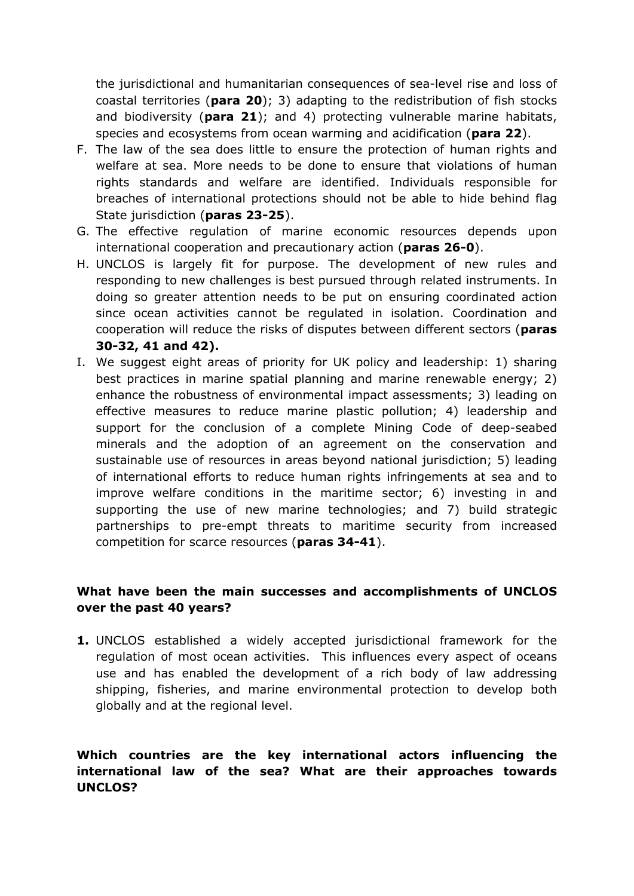the jurisdictional and humanitarian consequences of sea-level rise and loss of coastal territories (**para [20](#page-6-0)**); 3) adapting to the redistribution of fish stocks and biodiversity (**para [21](#page-6-1)**); and 4) protecting vulnerable marine habitats, species and ecosystems from ocean warming and acidification (**para [22](#page-6-2)**).

- F. The law of the sea does little to ensure the protection of human rights and welfare at sea. More needs to be done to ensure that violations of human rights standards and welfare are identified. Individuals responsible for breaches of international protections should not be able to hide behind flag State jurisdiction (**paras [23-](#page-7-0)[25](#page-7-1)**).
- G. The effective regulation of marine economic resources depends upon international cooperation and precautionary action (**paras [26-](#page-8-0)[0](#page-8-1)**).
- H. UNCLOS is largely fit for purpose. The development of new rules and responding to new challenges is best pursued through related instruments. In doing so greater attention needs to be put on ensuring coordinated action since ocean activities cannot be regulated in isolation. Coordination and cooperation will reduce the risks of disputes between different sectors (**paras [30-](#page-9-0)[32,](#page-10-0) [41](#page-11-0) and [42\)](#page-11-1).**
- I. We suggest eight areas of priority for UK policy and leadership: 1) sharing best practices in marine spatial planning and marine renewable energy; 2) enhance the robustness of environmental impact assessments; 3) leading on effective measures to reduce marine plastic pollution; 4) leadership and support for the conclusion of a complete Mining Code of deep-seabed minerals and the adoption of an agreement on the conservation and sustainable use of resources in areas beyond national jurisdiction; 5) leading of international efforts to reduce human rights infringements at sea and to improve welfare conditions in the maritime sector; 6) investing in and supporting the use of new marine technologies; and 7) build strategic partnerships to pre-empt threats to maritime security from increased competition for scarce resources (**paras 34-41**).

## **What have been the main successes and accomplishments of UNCLOS over the past 40 years?**

**1.** UNCLOS established a widely accepted jurisdictional framework for the regulation of most ocean activities. This influences every aspect of oceans use and has enabled the development of a rich body of law addressing shipping, fisheries, and marine environmental protection to develop both globally and at the regional level.

### **Which countries are the key international actors influencing the international law of the sea? What are their approaches towards UNCLOS?**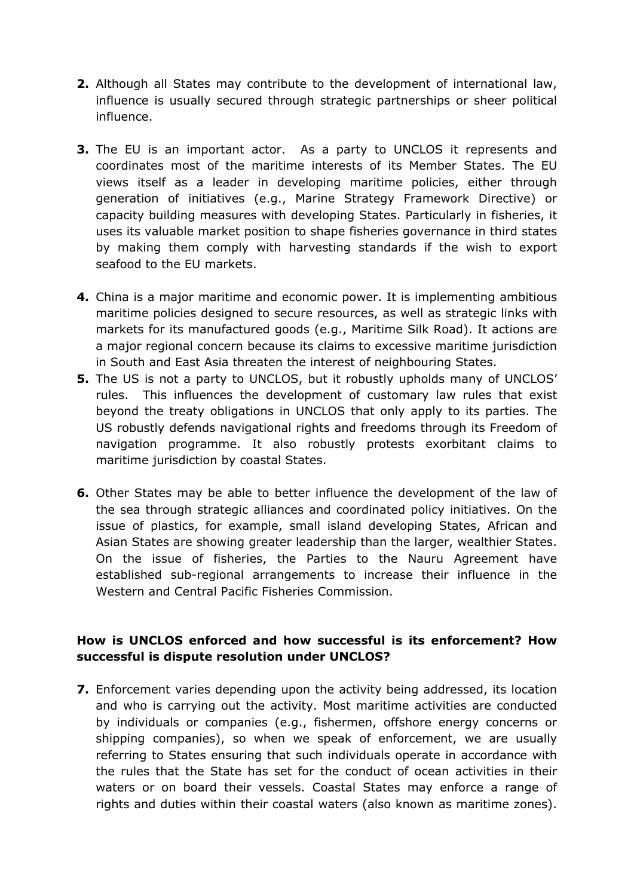- <span id="page-2-0"></span>**2.** Although all States may contribute to the development of international law, influence is usually secured through strategic partnerships or sheer political influence.
- **3.** The EU is an important actor. As a party to UNCLOS it represents and coordinates most of the maritime interests of its Member States. The EU views itself as a leader in developing maritime policies, either through generation of initiatives (e.g., Marine Strategy Framework Directive) or capacity building measures with developing States. Particularly in fisheries, it uses its valuable market position to shape fisheries governance in third states by making them comply with harvesting standards if the wish to export seafood to the EU markets.
- **4.** China is a major maritime and economic power. It is implementing ambitious maritime policies designed to secure resources, as well as strategic links with markets for its manufactured goods (e.g., Maritime Silk Road). It actions are a major regional concern because its claims to excessive maritime jurisdiction in South and East Asia threaten the interest of neighbouring States.
- **5.** The US is not a party to UNCLOS, but it robustly upholds many of UNCLOS' rules. This influences the development of customary law rules that exist beyond the treaty obligations in UNCLOS that only apply to its parties. The US robustly defends navigational rights and freedoms through its Freedom of navigation programme. It also robustly protests exorbitant claims to maritime jurisdiction by coastal States.
- <span id="page-2-1"></span>**6.** Other States may be able to better influence the development of the law of the sea through strategic alliances and coordinated policy initiatives. On the issue of plastics, for example, small island developing States, African and Asian States are showing greater leadership than the larger, wealthier States. On the issue of fisheries, the Parties to the Nauru Agreement have established sub-regional arrangements to increase their influence in the Western and Central Pacific Fisheries Commission.

## **How is UNCLOS enforced and how successful is its enforcement? How successful is dispute resolution under UNCLOS?**

<span id="page-2-2"></span>**7.** Enforcement varies depending upon the activity being addressed, its location and who is carrying out the activity. Most maritime activities are conducted by individuals or companies (e.g., fishermen, offshore energy concerns or shipping companies), so when we speak of enforcement, we are usually referring to States ensuring that such individuals operate in accordance with the rules that the State has set for the conduct of ocean activities in their waters or on board their vessels. Coastal States may enforce a range of rights and duties within their coastal waters (also known as maritime zones).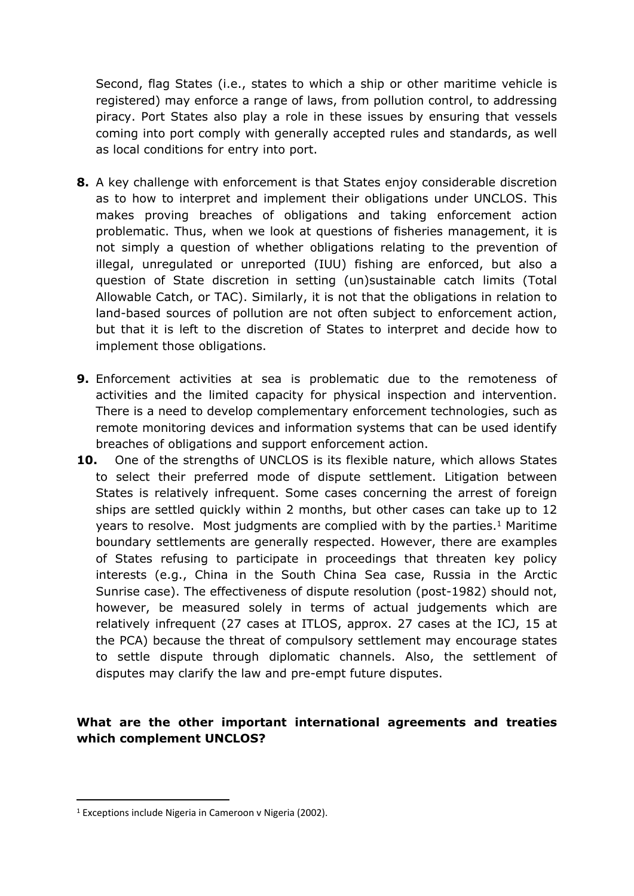Second, flag States (i.e., states to which a ship or other maritime vehicle is registered) may enforce a range of laws, from pollution control, to addressing piracy. Port States also play a role in these issues by ensuring that vessels coming into port comply with generally accepted rules and standards, as well as local conditions for entry into port.

- **8.** A key challenge with enforcement is that States enjoy considerable discretion as to how to interpret and implement their obligations under UNCLOS. This makes proving breaches of obligations and taking enforcement action problematic. Thus, when we look at questions of fisheries management, it is not simply a question of whether obligations relating to the prevention of illegal, unregulated or unreported (IUU) fishing are enforced, but also a question of State discretion in setting (un)sustainable catch limits (Total Allowable Catch, or TAC). Similarly, it is not that the obligations in relation to land-based sources of pollution are not often subject to enforcement action, but that it is left to the discretion of States to interpret and decide how to implement those obligations.
- <span id="page-3-0"></span>**9.** Enforcement activities at sea is problematic due to the remoteness of activities and the limited capacity for physical inspection and intervention. There is a need to develop complementary enforcement technologies, such as remote monitoring devices and information systems that can be used identify breaches of obligations and support enforcement action.
- **10.** One of the strengths of UNCLOS is its flexible nature, which allows States to select their preferred mode of dispute settlement. Litigation between States is relatively infrequent. Some cases concerning the arrest of foreign ships are settled quickly within 2 months, but other cases can take up to 12 years to resolve. Most judgments are complied with by the parties.<sup>1</sup> Maritime boundary settlements are generally respected. However, there are examples of States refusing to participate in proceedings that threaten key policy interests (e.g., China in the South China Sea case, Russia in the Arctic Sunrise case). The effectiveness of dispute resolution (post-1982) should not, however, be measured solely in terms of actual judgements which are relatively infrequent (27 cases at ITLOS, approx. 27 cases at the ICJ, 15 at the PCA) because the threat of compulsory settlement may encourage states to settle dispute through diplomatic channels. Also, the settlement of disputes may clarify the law and pre-empt future disputes.

#### **What are the other important international agreements and treaties which complement UNCLOS?**

<sup>1</sup> Exceptions include Nigeria in Cameroon v Nigeria (2002).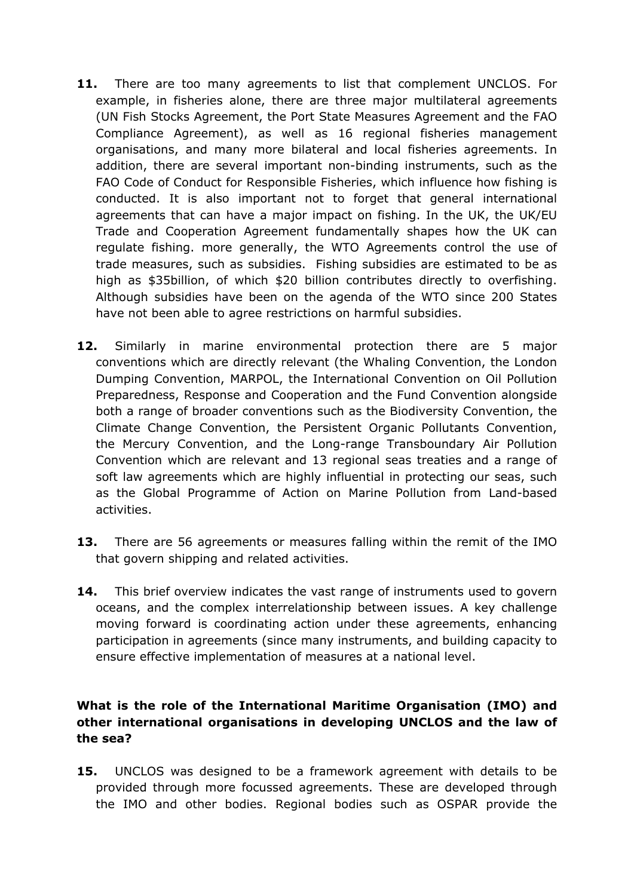- <span id="page-4-0"></span>11. There are too many agreements to list that complement UNCLOS. For example, in fisheries alone, there are three major multilateral agreements (UN Fish Stocks Agreement, the Port State Measures Agreement and the FAO Compliance Agreement), as well as 16 regional fisheries management organisations, and many more bilateral and local fisheries agreements. In addition, there are several important non-binding instruments, such as the FAO Code of Conduct for Responsible Fisheries, which influence how fishing is conducted. It is also important not to forget that general international agreements that can have a major impact on fishing. In the UK, the UK/EU Trade and Cooperation Agreement fundamentally shapes how the UK can regulate fishing. more generally, the WTO Agreements control the use of trade measures, such as subsidies. Fishing subsidies are estimated to be as high as \$35billion, of which \$20 billion contributes directly to overfishing. Although subsidies have been on the agenda of the WTO since 200 States have not been able to agree restrictions on harmful subsidies.
- **12.** Similarly in marine environmental protection there are 5 major conventions which are directly relevant (the Whaling Convention, the London Dumping Convention, MARPOL, the International Convention on Oil Pollution Preparedness, Response and Cooperation and the Fund Convention alongside both a range of broader conventions such as the Biodiversity Convention, the Climate Change Convention, the Persistent Organic Pollutants Convention, the Mercury Convention, and the Long-range Transboundary Air Pollution Convention which are relevant and 13 regional seas treaties and a range of soft law agreements which are highly influential in protecting our seas, such as the Global Programme of Action on Marine Pollution from Land-based activities.
- **13.** There are 56 agreements or measures falling within the remit of the IMO that govern shipping and related activities.
- <span id="page-4-1"></span>**14.** This brief overview indicates the vast range of instruments used to govern oceans, and the complex interrelationship between issues. A key challenge moving forward is coordinating action under these agreements, enhancing participation in agreements (since many instruments, and building capacity to ensure effective implementation of measures at a national level.

## **What is the role of the International Maritime Organisation (IMO) and other international organisations in developing UNCLOS and the law of the sea?**

<span id="page-4-2"></span>**15.** UNCLOS was designed to be a framework agreement with details to be provided through more focussed agreements. These are developed through the IMO and other bodies. Regional bodies such as OSPAR provide the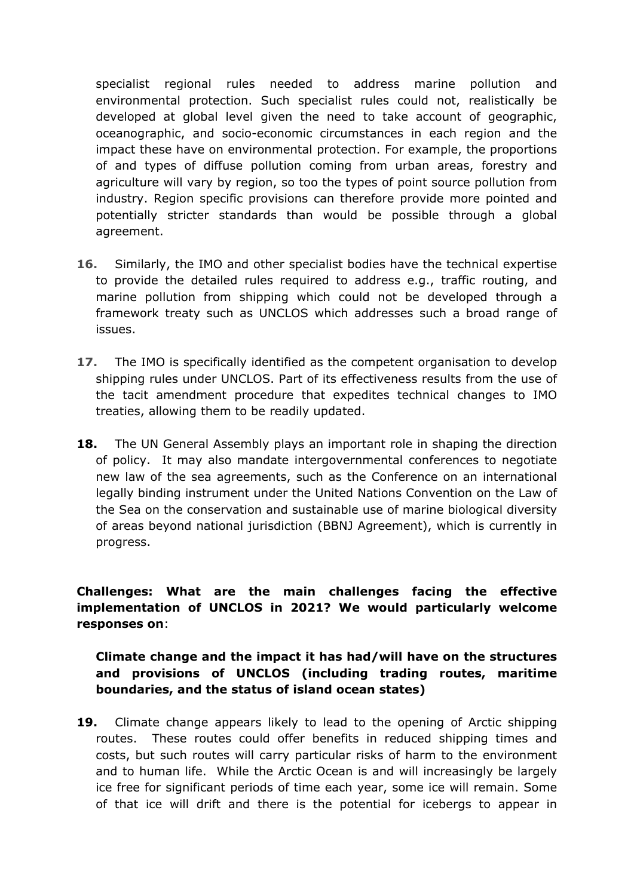specialist regional rules needed to address marine pollution and environmental protection. Such specialist rules could not, realistically be developed at global level given the need to take account of geographic, oceanographic, and socio-economic circumstances in each region and the impact these have on environmental protection. For example, the proportions of and types of diffuse pollution coming from urban areas, forestry and agriculture will vary by region, so too the types of point source pollution from industry. Region specific provisions can therefore provide more pointed and potentially stricter standards than would be possible through a global agreement.

- **16.** Similarly, the IMO and other specialist bodies have the technical expertise to provide the detailed rules required to address e.g., traffic routing, and marine pollution from shipping which could not be developed through a framework treaty such as UNCLOS which addresses such a broad range of issues.
- **17.** The IMO is specifically identified as the competent organisation to develop shipping rules under UNCLOS. Part of its effectiveness results from the use of the tacit amendment procedure that expedites technical changes to IMO treaties, allowing them to be readily updated.
- <span id="page-5-0"></span>**18.** The UN General Assembly plays an important role in shaping the direction of policy. It may also mandate intergovernmental conferences to negotiate new law of the sea agreements, such as the Conference on an international legally binding instrument under the United Nations Convention on the Law of the Sea on the conservation and sustainable use of marine biological diversity of areas beyond national jurisdiction (BBNJ Agreement), which is currently in progress.

# **Challenges: What are the main challenges facing the effective implementation of UNCLOS in 2021? We would particularly welcome responses on**:

## **Climate change and the impact it has had/will have on the structures and provisions of UNCLOS (including trading routes, maritime boundaries, and the status of island ocean states)**

<span id="page-5-1"></span>**19.** Climate change appears likely to lead to the opening of Arctic shipping routes. These routes could offer benefits in reduced shipping times and costs, but such routes will carry particular risks of harm to the environment and to human life. While the Arctic Ocean is and will increasingly be largely ice free for significant periods of time each year, some ice will remain. Some of that ice will drift and there is the potential for icebergs to appear in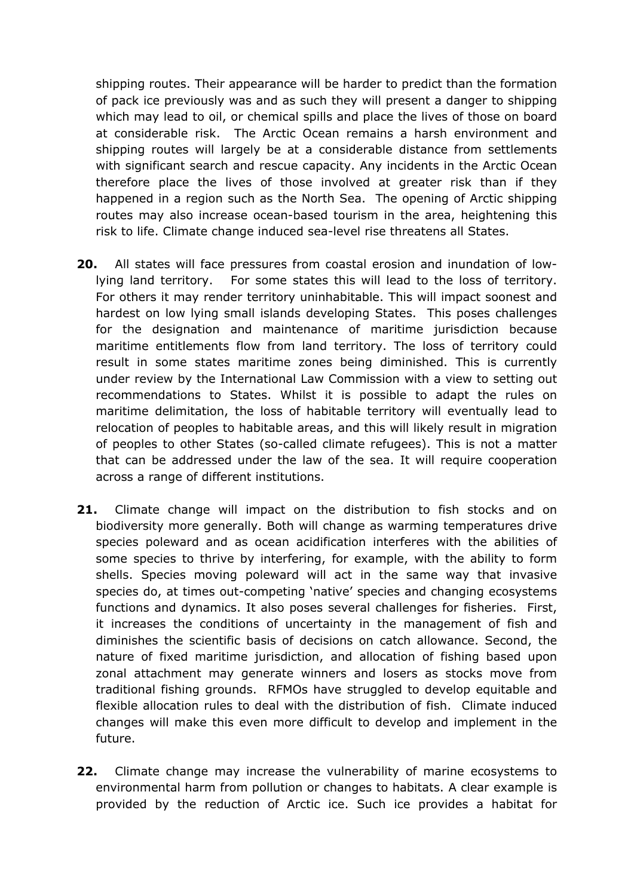shipping routes. Their appearance will be harder to predict than the formation of pack ice previously was and as such they will present a danger to shipping which may lead to oil, or chemical spills and place the lives of those on board at considerable risk. The Arctic Ocean remains a harsh environment and shipping routes will largely be at a considerable distance from settlements with significant search and rescue capacity. Any incidents in the Arctic Ocean therefore place the lives of those involved at greater risk than if they happened in a region such as the North Sea. The opening of Arctic shipping routes may also increase ocean-based tourism in the area, heightening this risk to life. Climate change induced sea-level rise threatens all States.

- <span id="page-6-0"></span>**20.** All states will face pressures from coastal erosion and inundation of lowlying land territory. For some states this will lead to the loss of territory. For others it may render territory uninhabitable. This will impact soonest and hardest on low lying small islands developing States. This poses challenges for the designation and maintenance of maritime jurisdiction because maritime entitlements flow from land territory. The loss of territory could result in some states maritime zones being diminished. This is currently under review by the International Law Commission with a view to setting out recommendations to States. Whilst it is possible to adapt the rules on maritime delimitation, the loss of habitable territory will eventually lead to relocation of peoples to habitable areas, and this will likely result in migration of peoples to other States (so-called climate refugees). This is not a matter that can be addressed under the law of the sea. It will require cooperation across a range of different institutions.
- <span id="page-6-1"></span>**21.** Climate change will impact on the distribution to fish stocks and on biodiversity more generally. Both will change as warming temperatures drive species poleward and as ocean acidification interferes with the abilities of some species to thrive by interfering, for example, with the ability to form shells. Species moving poleward will act in the same way that invasive species do, at times out-competing 'native' species and changing ecosystems functions and dynamics. It also poses several challenges for fisheries. First, it increases the conditions of uncertainty in the management of fish and diminishes the scientific basis of decisions on catch allowance. Second, the nature of fixed maritime jurisdiction, and allocation of fishing based upon zonal attachment may generate winners and losers as stocks move from traditional fishing grounds. RFMOs have struggled to develop equitable and flexible allocation rules to deal with the distribution of fish. Climate induced changes will make this even more difficult to develop and implement in the future.
- <span id="page-6-2"></span>**22.** Climate change may increase the vulnerability of marine ecosystems to environmental harm from pollution or changes to habitats. A clear example is provided by the reduction of Arctic ice. Such ice provides a habitat for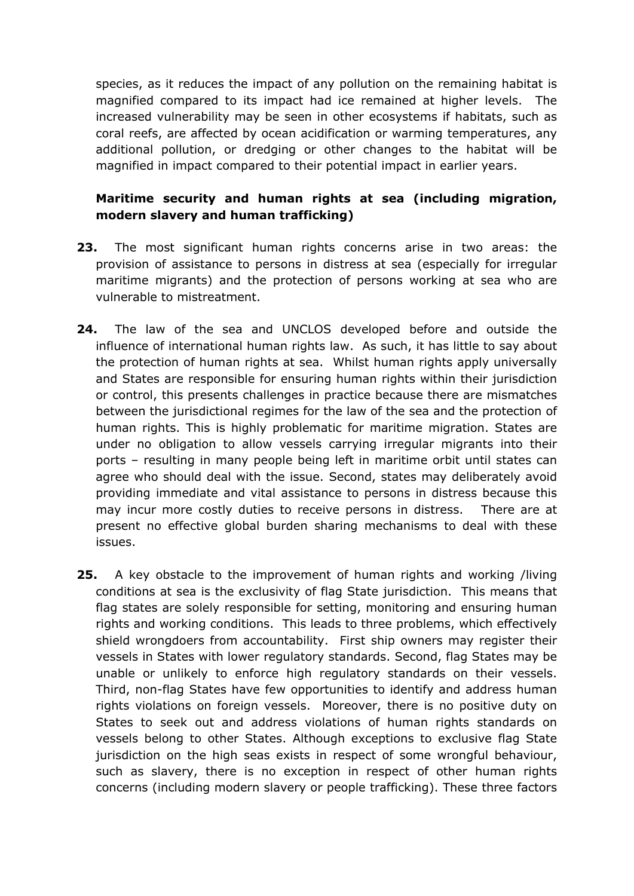species, as it reduces the impact of any pollution on the remaining habitat is magnified compared to its impact had ice remained at higher levels. The increased vulnerability may be seen in other ecosystems if habitats, such as coral reefs, are affected by ocean acidification or warming temperatures, any additional pollution, or dredging or other changes to the habitat will be magnified in impact compared to their potential impact in earlier years.

# **Maritime security and human rights at sea (including migration, modern slavery and human trafficking)**

- <span id="page-7-0"></span>**23.** The most significant human rights concerns arise in two areas: the provision of assistance to persons in distress at sea (especially for irregular maritime migrants) and the protection of persons working at sea who are vulnerable to mistreatment.
- **24.** The law of the sea and UNCLOS developed before and outside the influence of international human rights law. As such, it has little to say about the protection of human rights at sea. Whilst human rights apply universally and States are responsible for ensuring human rights within their jurisdiction or control, this presents challenges in practice because there are mismatches between the jurisdictional regimes for the law of the sea and the protection of human rights. This is highly problematic for maritime migration. States are under no obligation to allow vessels carrying irregular migrants into their ports – resulting in many people being left in maritime orbit until states can agree who should deal with the issue. Second, states may deliberately avoid providing immediate and vital assistance to persons in distress because this may incur more costly duties to receive persons in distress. There are at present no effective global burden sharing mechanisms to deal with these issues.
- <span id="page-7-1"></span>**25.** A key obstacle to the improvement of human rights and working /living conditions at sea is the exclusivity of flag State jurisdiction. This means that flag states are solely responsible for setting, monitoring and ensuring human rights and working conditions. This leads to three problems, which effectively shield wrongdoers from accountability. First ship owners may register their vessels in States with lower regulatory standards. Second, flag States may be unable or unlikely to enforce high regulatory standards on their vessels. Third, non-flag States have few opportunities to identify and address human rights violations on foreign vessels. Moreover, there is no positive duty on States to seek out and address violations of human rights standards on vessels belong to other States. Although exceptions to exclusive flag State jurisdiction on the high seas exists in respect of some wrongful behaviour, such as slavery, there is no exception in respect of other human rights concerns (including modern slavery or people trafficking). These three factors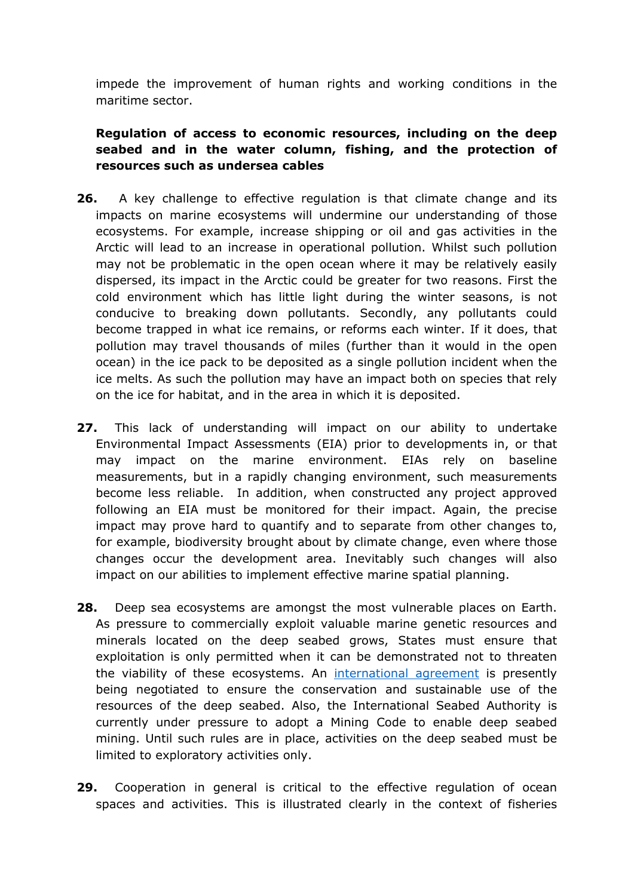impede the improvement of human rights and working conditions in the maritime sector.

# **Regulation of access to economic resources, including on the deep seabed and in the water column, fishing, and the protection of resources such as undersea cables**

- <span id="page-8-0"></span>**26.** A key challenge to effective regulation is that climate change and its impacts on marine ecosystems will undermine our understanding of those ecosystems. For example, increase shipping or oil and gas activities in the Arctic will lead to an increase in operational pollution. Whilst such pollution may not be problematic in the open ocean where it may be relatively easily dispersed, its impact in the Arctic could be greater for two reasons. First the cold environment which has little light during the winter seasons, is not conducive to breaking down pollutants. Secondly, any pollutants could become trapped in what ice remains, or reforms each winter. If it does, that pollution may travel thousands of miles (further than it would in the open ocean) in the ice pack to be deposited as a single pollution incident when the ice melts. As such the pollution may have an impact both on species that rely on the ice for habitat, and in the area in which it is deposited.
- **27.** This lack of understanding will impact on our ability to undertake Environmental Impact Assessments (EIA) prior to developments in, or that may impact on the marine environment. EIAs rely on baseline measurements, but in a rapidly changing environment, such measurements become less reliable. In addition, when constructed any project approved following an EIA must be monitored for their impact. Again, the precise impact may prove hard to quantify and to separate from other changes to, for example, biodiversity brought about by climate change, even where those changes occur the development area. Inevitably such changes will also impact on our abilities to implement effective marine spatial planning.
- **28.** Deep sea ecosystems are amongst the most vulnerable places on Earth. As pressure to commercially exploit valuable marine genetic resources and minerals located on the deep seabed grows, States must ensure that exploitation is only permitted when it can be demonstrated not to threaten the viability of these ecosystems. An [international](https://www.un.org/bbnj/) [agreement](https://www.un.org/bbnj/) is presently being negotiated to ensure the conservation and sustainable use of the resources of the deep seabed. Also, the International Seabed Authority is currently under pressure to adopt a Mining Code to enable deep seabed mining. Until such rules are in place, activities on the deep seabed must be limited to exploratory activities only.
- <span id="page-8-1"></span>**29.** Cooperation in general is critical to the effective regulation of ocean spaces and activities. This is illustrated clearly in the context of fisheries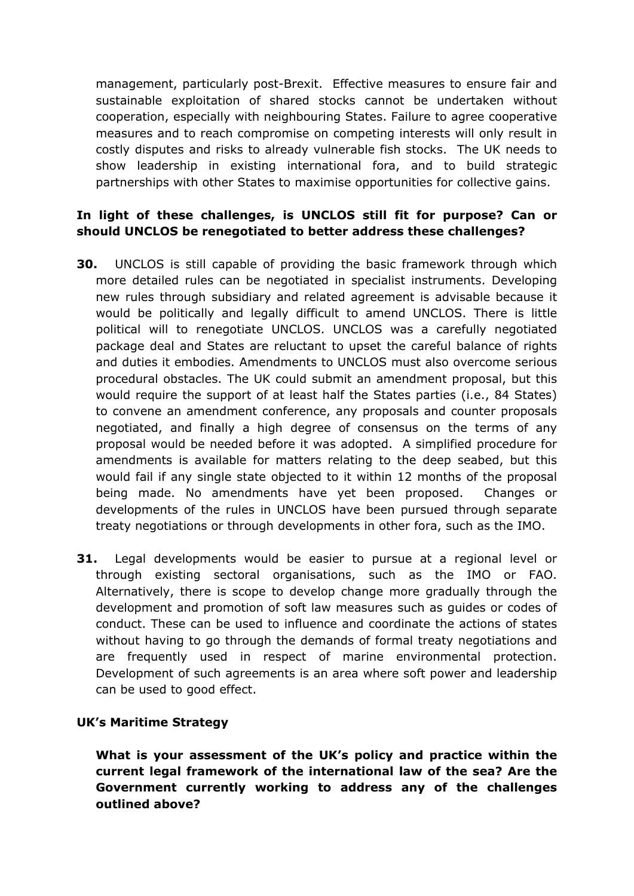management, particularly post-Brexit. Effective measures to ensure fair and sustainable exploitation of shared stocks cannot be undertaken without cooperation, especially with neighbouring States. Failure to agree cooperative measures and to reach compromise on competing interests will only result in costly disputes and risks to already vulnerable fish stocks. The UK needs to show leadership in existing international fora, and to build strategic partnerships with other States to maximise opportunities for collective gains.

### **In light of these challenges, is UNCLOS still fit for purpose? Can or should UNCLOS be renegotiated to better address these challenges?**

- <span id="page-9-0"></span>**30.** UNCLOS is still capable of providing the basic framework through which more detailed rules can be negotiated in specialist instruments. Developing new rules through subsidiary and related agreement is advisable because it would be politically and legally difficult to amend UNCLOS. There is little political will to renegotiate UNCLOS. UNCLOS was a carefully negotiated package deal and States are reluctant to upset the careful balance of rights and duties it embodies. Amendments to UNCLOS must also overcome serious procedural obstacles. The UK could submit an amendment proposal, but this would require the support of at least half the States parties (i.e., 84 States) to convene an amendment conference, any proposals and counter proposals negotiated, and finally a high degree of consensus on the terms of any proposal would be needed before it was adopted. A simplified procedure for amendments is available for matters relating to the deep seabed, but this would fail if any single state objected to it within 12 months of the proposal being made. No amendments have yet been proposed. Changes or developments of the rules in UNCLOS have been pursued through separate treaty negotiations or through developments in other fora, such as the IMO.
- **31.** Legal developments would be easier to pursue at a regional level or through existing sectoral organisations, such as the IMO or FAO. Alternatively, there is scope to develop change more gradually through the development and promotion of soft law measures such as guides or codes of conduct. These can be used to influence and coordinate the actions of states without having to go through the demands of formal treaty negotiations and are frequently used in respect of marine environmental protection. Development of such agreements is an area where soft power and leadership can be used to good effect.

#### **UK's Maritime Strategy**

**What is your assessment of the UK's policy and practice within the current legal framework of the international law of the sea? Are the Government currently working to address any of the challenges outlined above?**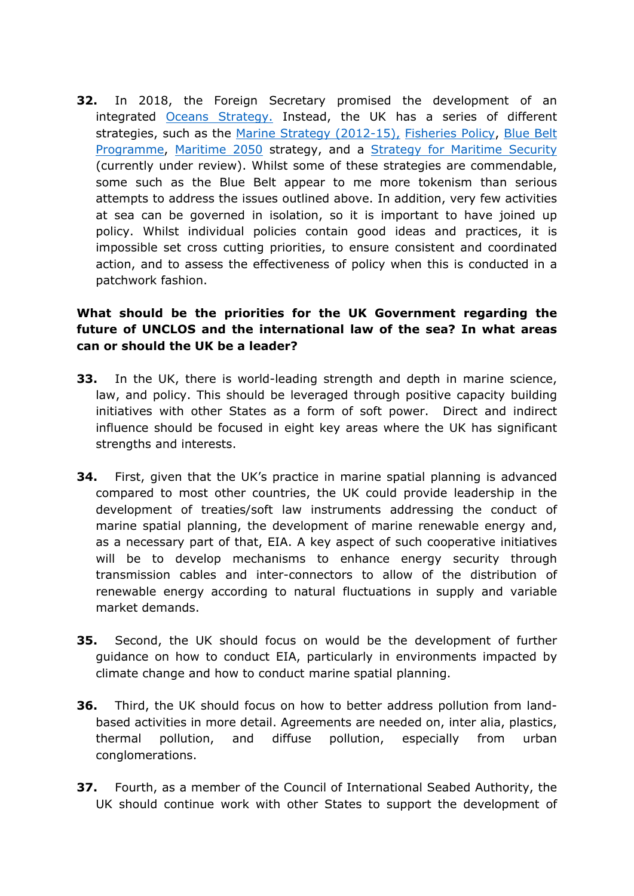<span id="page-10-0"></span>**32.** In 2018, the Foreign Secretary promised the development of an integrated [Oceans](https://www.gov.uk/government/news/foreign-secretary-announces-uk-strategy-to-protect-worlds-oceans) [Strategy.](https://www.gov.uk/government/news/foreign-secretary-announces-uk-strategy-to-protect-worlds-oceans) Instead, the UK has a series of different strategies, such as the [Marine](https://www.gov.uk/government/publications/marine-strategy-part-one-uk-updated-assessment-and-good-environmental-status) [Strategy](https://www.gov.uk/government/publications/marine-strategy-part-one-uk-updated-assessment-and-good-environmental-status) [\(2012-15\),](https://www.gov.uk/government/publications/marine-strategy-part-one-uk-updated-assessment-and-good-environmental-status) [Fisheries](https://assets.publishing.service.gov.uk/government/uploads/system/uploads/attachment_data/file/722074/fisheries-wp-consult-document.pdf) [Policy,](https://assets.publishing.service.gov.uk/government/uploads/system/uploads/attachment_data/file/722074/fisheries-wp-consult-document.pdf) [Blue](https://www.gov.uk/guidance/the-blue-belt-programme) [Belt](https://www.gov.uk/guidance/the-blue-belt-programme) [Programme](https://www.gov.uk/guidance/the-blue-belt-programme), [Maritime](https://assets.publishing.service.gov.uk/government/uploads/system/uploads/attachment_data/file/872194/Maritime_2050_Report.pdf) [2050](https://assets.publishing.service.gov.uk/government/uploads/system/uploads/attachment_data/file/872194/Maritime_2050_Report.pdf) strategy, and a [Strategy](https://assets.publishing.service.gov.uk/government/uploads/system/uploads/attachment_data/file/322813/20140623-40221_national-maritime-strat-Cm_8829_accessible.pdf) [for](https://assets.publishing.service.gov.uk/government/uploads/system/uploads/attachment_data/file/322813/20140623-40221_national-maritime-strat-Cm_8829_accessible.pdf) [Maritime](https://assets.publishing.service.gov.uk/government/uploads/system/uploads/attachment_data/file/322813/20140623-40221_national-maritime-strat-Cm_8829_accessible.pdf) [Security](https://assets.publishing.service.gov.uk/government/uploads/system/uploads/attachment_data/file/322813/20140623-40221_national-maritime-strat-Cm_8829_accessible.pdf) (currently under review). Whilst some of these strategies are commendable, some such as the Blue Belt appear to me more tokenism than serious attempts to address the issues outlined above. In addition, very few activities at sea can be governed in isolation, so it is important to have joined up policy. Whilst individual policies contain good ideas and practices, it is impossible set cross cutting priorities, to ensure consistent and coordinated action, and to assess the effectiveness of policy when this is conducted in a patchwork fashion.

## **What should be the priorities for the UK Government regarding the future of UNCLOS and the international law of the sea? In what areas can or should the UK be a leader?**

- **33.** In the UK, there is world-leading strength and depth in marine science, law, and policy. This should be leveraged through positive capacity building initiatives with other States as a form of soft power. Direct and indirect influence should be focused in eight key areas where the UK has significant strengths and interests.
- **34.** First, given that the UK's practice in marine spatial planning is advanced compared to most other countries, the UK could provide leadership in the development of treaties/soft law instruments addressing the conduct of marine spatial planning, the development of marine renewable energy and, as a necessary part of that, EIA. A key aspect of such cooperative initiatives will be to develop mechanisms to enhance energy security through transmission cables and inter-connectors to allow of the distribution of renewable energy according to natural fluctuations in supply and variable market demands.
- **35.** Second, the UK should focus on would be the development of further guidance on how to conduct EIA, particularly in environments impacted by climate change and how to conduct marine spatial planning.
- **36.** Third, the UK should focus on how to better address pollution from landbased activities in more detail. Agreements are needed on, inter alia, plastics, thermal pollution, and diffuse pollution, especially from urban conglomerations.
- **37.** Fourth, as a member of the Council of International Seabed Authority, the UK should continue work with other States to support the development of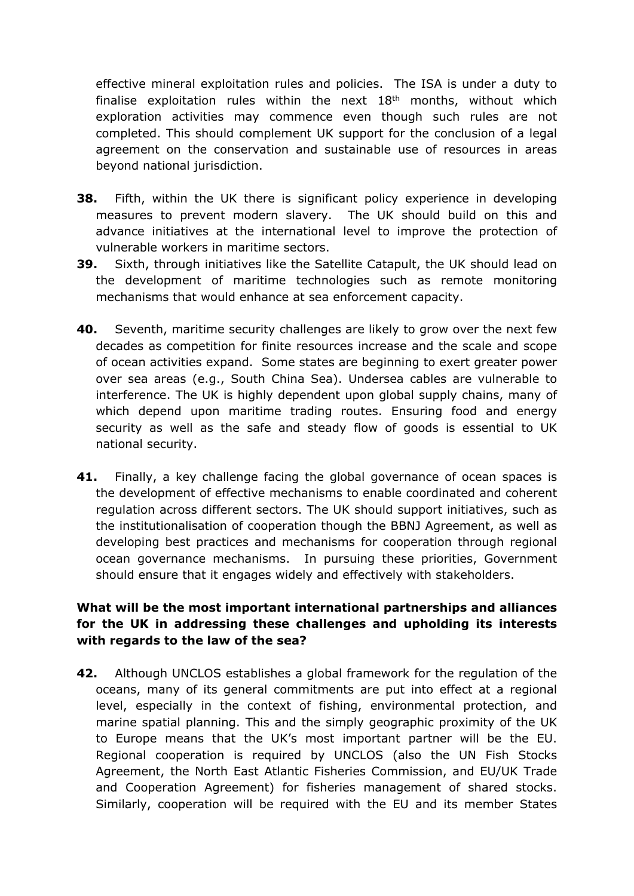effective mineral exploitation rules and policies. The ISA is under a duty to finalise exploitation rules within the next  $18<sup>th</sup>$  months, without which exploration activities may commence even though such rules are not completed. This should complement UK support for the conclusion of a legal agreement on the conservation and sustainable use of resources in areas beyond national jurisdiction.

- **38.** Fifth, within the UK there is significant policy experience in developing measures to prevent modern slavery. The UK should build on this and advance initiatives at the international level to improve the protection of vulnerable workers in maritime sectors.
- **39.** Sixth, through initiatives like the Satellite Catapult, the UK should lead on the development of maritime technologies such as remote monitoring mechanisms that would enhance at sea enforcement capacity.
- **40.** Seventh, maritime security challenges are likely to grow over the next few decades as competition for finite resources increase and the scale and scope of ocean activities expand. Some states are beginning to exert greater power over sea areas (e.g., South China Sea). Undersea cables are vulnerable to interference. The UK is highly dependent upon global supply chains, many of which depend upon maritime trading routes. Ensuring food and energy security as well as the safe and steady flow of goods is essential to UK national security.
- **41.** Finally, a key challenge facing the global governance of ocean spaces is the development of effective mechanisms to enable coordinated and coherent regulation across different sectors. The UK should support initiatives, such as the institutionalisation of cooperation though the BBNJ Agreement, as well as developing best practices and mechanisms for cooperation through regional ocean governance mechanisms. In pursuing these priorities, Government should ensure that it engages widely and effectively with stakeholders.

## <span id="page-11-0"></span>**What will be the most important international partnerships and alliances for the UK in addressing these challenges and upholding its interests with regards to the law of the sea?**

<span id="page-11-1"></span>**42.** Although UNCLOS establishes a global framework for the regulation of the oceans, many of its general commitments are put into effect at a regional level, especially in the context of fishing, environmental protection, and marine spatial planning. This and the simply geographic proximity of the UK to Europe means that the UK's most important partner will be the EU. Regional cooperation is required by UNCLOS (also the UN Fish Stocks Agreement, the North East Atlantic Fisheries Commission, and EU/UK Trade and Cooperation Agreement) for fisheries management of shared stocks. Similarly, cooperation will be required with the EU and its member States